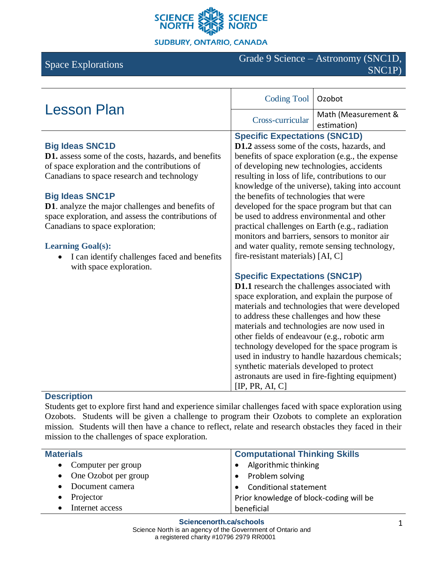

**SUDBURY, ONTARIO, CANADA** 

# Space Explorations Grade 9 Science – Astronomy (SNC1D, SNC1P)

| <b>Lesson Plan</b>                                                      | <b>Coding Tool</b>                                                                              | Ozobot                                          |
|-------------------------------------------------------------------------|-------------------------------------------------------------------------------------------------|-------------------------------------------------|
|                                                                         | Cross-curricular                                                                                | Math (Measurement &<br>estimation)              |
|                                                                         | <b>Specific Expectations (SNC1D)</b>                                                            |                                                 |
| <b>Big Ideas SNC1D</b>                                                  | D1.2 assess some of the costs, hazards, and                                                     |                                                 |
| <b>D1.</b> assess some of the costs, hazards, and benefits              | benefits of space exploration (e.g., the expense                                                |                                                 |
| of space exploration and the contributions of                           | of developing new technologies, accidents                                                       |                                                 |
| Canadians to space research and technology                              | resulting in loss of life, contributions to our                                                 |                                                 |
|                                                                         | knowledge of the universe), taking into account                                                 |                                                 |
| <b>Big Ideas SNC1P</b>                                                  | the benefits of technologies that were                                                          |                                                 |
| <b>D1.</b> analyze the major challenges and benefits of                 | developed for the space program but that can                                                    |                                                 |
| space exploration, and assess the contributions of                      | be used to address environmental and other                                                      |                                                 |
| Canadians to space exploration;                                         | practical challenges on Earth (e.g., radiation<br>monitors and barriers, sensors to monitor air |                                                 |
|                                                                         |                                                                                                 |                                                 |
| <b>Learning Goal(s):</b>                                                | and water quality, remote sensing technology,                                                   |                                                 |
| I can identify challenges faced and benefits<br>with space exploration. | fire-resistant materials) [AI, C]                                                               |                                                 |
|                                                                         | <b>Specific Expectations (SNC1P)</b>                                                            |                                                 |
|                                                                         | D1.1 research the challenges associated with                                                    |                                                 |
|                                                                         | space exploration, and explain the purpose of                                                   |                                                 |
|                                                                         | materials and technologies that were developed                                                  |                                                 |
|                                                                         | to address these challenges and how these                                                       |                                                 |
|                                                                         | materials and technologies are now used in                                                      |                                                 |
|                                                                         | other fields of endeavour (e.g., robotic arm                                                    |                                                 |
|                                                                         |                                                                                                 | technology developed for the space program is   |
|                                                                         |                                                                                                 | used in industry to handle hazardous chemicals; |
|                                                                         | synthetic materials developed to protect<br>astronauts are used in fire-fighting equipment)     |                                                 |
|                                                                         |                                                                                                 |                                                 |
|                                                                         | [IP, PR, AI, C]                                                                                 |                                                 |

## **Description**

Students get to explore first hand and experience similar challenges faced with space exploration using Ozobots. Students will be given a challenge to program their Ozobots to complete an exploration mission. Students will then have a chance to reflect, relate and research obstacles they faced in their mission to the challenges of space exploration.

| <b>Materials</b>       | <b>Computational Thinking Skills</b>    |
|------------------------|-----------------------------------------|
| • Computer per group   | Algorithmic thinking                    |
| • One Ozobot per group | • Problem solving                       |
| Document camera        | • Conditional statement                 |
| Projector<br>$\bullet$ | Prior knowledge of block-coding will be |
| Internet access        | beneficial                              |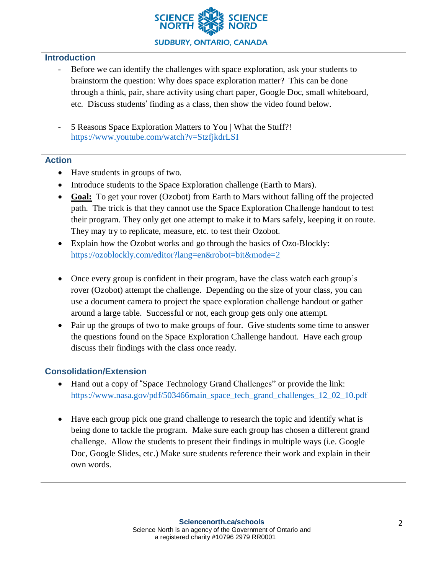

## **Introduction**

- Before we can identify the challenges with space exploration, ask your students to brainstorm the question: Why does space exploration matter? This can be done through a think, pair, share activity using chart paper, Google Doc, small whiteboard, etc. Discuss students' finding as a class, then show the video found below.
- 5 Reasons Space Exploration Matters to You | What the Stuff?! <https://www.youtube.com/watch?v=StzfjkdrLSI>

## **Action**

- Have students in groups of two.
- Introduce students to the Space Exploration challenge (Earth to Mars).
- **Goal:** To get your rover (Ozobot) from Earth to Mars without falling off the projected path. The trick is that they cannot use the Space Exploration Challenge handout to test their program. They only get one attempt to make it to Mars safely, keeping it on route. They may try to replicate, measure, etc. to test their Ozobot.
- Explain how the Ozobot works and go through the basics of Ozo-Blockly: <https://ozoblockly.com/editor?lang=en&robot=bit&mode=2>
- Once every group is confident in their program, have the class watch each group's rover (Ozobot) attempt the challenge. Depending on the size of your class, you can use a document camera to project the space exploration challenge handout or gather around a large table. Successful or not, each group gets only one attempt.
- Pair up the groups of two to make groups of four. Give students some time to answer the questions found on the Space Exploration Challenge handout. Have each group discuss their findings with the class once ready.

# **Consolidation/Extension**

- Hand out a copy of "Space Technology Grand Challenges" or provide the link: [https://www.nasa.gov/pdf/503466main\\_space\\_tech\\_grand\\_challenges\\_12\\_02\\_10.pdf](https://www.nasa.gov/pdf/503466main_space_tech_grand_challenges_12_02_10.pdf)
- Have each group pick one grand challenge to research the topic and identify what is being done to tackle the program. Make sure each group has chosen a different grand challenge. Allow the students to present their findings in multiple ways (i.e. Google Doc, Google Slides, etc.) Make sure students reference their work and explain in their own words.